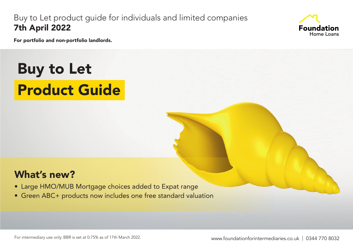## Buy to Let product guide for individuals and limited companies 7th April 2022



For portfolio and non-portfolio landlords.

# Buy to Let Product Guide

# What's new?

- Large HMO/MUB Mortgage choices added to Expat range
- Green ABC+ products now includes one free standard valuation

For intermediary use only. BBR is set at 0.75% as of 17th March 2022.

www.foundationforintermediaries.co.uk | 0344 770 8032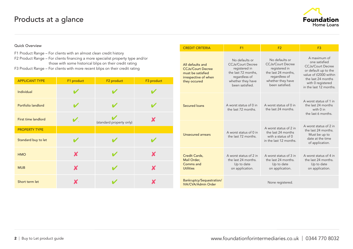## Products at a glance



#### Quick Overview

- F1 Product Range For clients with an almost clean credit history F2 Product Range – For clients financing a more specialist property type and/or
- those with some historical blips on their credit rating
- F3 Product Range For clients with more recent blips on their credit rating

| <b>APPLICANT TYPE</b> | F1 product | F <sub>2</sub> product   | F3 product |
|-----------------------|------------|--------------------------|------------|
| Individual            |            |                          |            |
| Portfolio landlord    |            |                          |            |
| First time landlord   | V          | (standard property only) |            |
| <b>PROPERTY TYPE</b>  |            |                          |            |
| Standard buy to let   |            |                          |            |
| <b>HMO</b>            | X          |                          | X          |
| <b>MUB</b>            | X          |                          | X          |
| Short term let        |            |                          |            |

| <b>CREDIT CRITERIA</b>                                                                                    | F <sub>1</sub>                                                                                                                              | F <sub>2</sub>                                                                                                                              | F3                                                                                                                                                                              |  |  |  |
|-----------------------------------------------------------------------------------------------------------|---------------------------------------------------------------------------------------------------------------------------------------------|---------------------------------------------------------------------------------------------------------------------------------------------|---------------------------------------------------------------------------------------------------------------------------------------------------------------------------------|--|--|--|
| All defaults and<br><b>CCJs/Court Decree</b><br>must be satisfied<br>irrespective of when<br>they occured | No defaults or<br><b>CCJs/Court Decree</b><br>registered in<br>the last 72 months,<br>regardless of<br>whether they have<br>been satisfied. | No defaults or<br><b>CCJs/Court Decree</b><br>registered in<br>the last 24 months,<br>regardless of<br>whether they have<br>been satisfied. | A maximum of<br>one satisfied<br><b>CCJs/Court Decree</b><br>or default up to the<br>value of £2000 within<br>the last 24 months<br>with 0 registered<br>in the last 12 months. |  |  |  |
| <b>Secured loans</b>                                                                                      | A worst status of 0 in<br>the last 72 months.                                                                                               | A worst status of 0 in<br>the last 24 months.                                                                                               | A worst status of 1 in<br>the last 24 months<br>with 0 in<br>the last 6 months.                                                                                                 |  |  |  |
| Unsecured arrears                                                                                         | A worst status of 0 in<br>the last 72 months.                                                                                               | A worst status of 2 in<br>the last 24 months<br>with a status of $0$<br>in the last 12 months.                                              | A worst status of 2 in<br>the last 24 months.<br>Must be up to<br>date at the time<br>of application.                                                                           |  |  |  |
| Credit Cards,<br>Mail Order.<br>Comms and<br><b>Utilities</b>                                             | A worst status of 2 in<br>the last 24 months.<br>Up to date<br>on application.                                                              | A worst status of 3 in<br>the last 24 months.<br>Up to date<br>on application.                                                              | A worst status of 4 in<br>the last 24 months.<br>Up to date<br>on application.                                                                                                  |  |  |  |
| Bankruptcy/Sequestration/<br>IVA/CVA/Admin Order                                                          | None registered.                                                                                                                            |                                                                                                                                             |                                                                                                                                                                                 |  |  |  |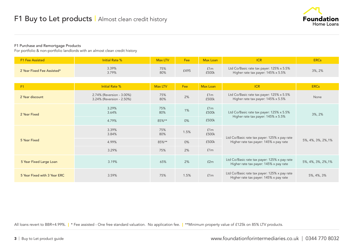

#### F1 Purchase and Remortgage Products

For portfolio & non-portfolio landlords with an almost clean credit history

| <b>F1 Fee Assisted</b>       | <b>Initial Rate %</b>                                  | <b>Max LTV</b> | Fee  | <b>Max Loan</b> | ICR                                                                                    | <b>ERCs</b>        |
|------------------------------|--------------------------------------------------------|----------------|------|-----------------|----------------------------------------------------------------------------------------|--------------------|
| 2 Year Fixed Fee Assisted*   | 3.39%<br>3.79%                                         | 75%<br>80%     | £495 | f1m<br>£500k    | Ltd Co/Basic rate tax payer: 125% x 5.5%<br>Higher rate tax payer: 145% x 5.5%         | 3%, 2%             |
|                              |                                                        |                |      |                 |                                                                                        |                    |
| F1                           | Initial Rate %                                         | Max LTV        | Fee  | Max Loan        | <b>ICR</b>                                                                             | <b>ERCs</b>        |
| 2 Year discount              | 2.74% (Reversion - 3.00%)<br>3.24% (Reversion - 2.50%) | 75%<br>80%     | 2%   | f1m<br>£500k    | Ltd Co/Basic rate tax payer: 125% x 5.5%<br>Higher rate tax payer: 145% x 5.5%         | None               |
| 2 Year Fixed                 | 3.29%<br>3.64%                                         | 75%<br>80%     | 1%   | f1m<br>£500k    | Ltd Co/Basic rate tax payer: 125% x 5.5%<br>Higher rate tax payer: 145% x 5.5%         | 3%, 2%             |
|                              | 4.79%                                                  | 85%**          | 0%   | £500k           |                                                                                        |                    |
|                              | 3.39%<br>3.84%                                         | 75%<br>80%     | 1.5% | £1m<br>£500k    | Ltd Co/Basic rate tax payer: 125% x pay rate                                           |                    |
| 5 Year Fixed                 | 4.99%                                                  | 85%**          | 0%   | £500k           | Higher rate tax payer: 145% x pay rate                                                 | 5%, 4%, 3%, 2%, 1% |
|                              | 3.29%                                                  | 75%            | 2%   | f1m             |                                                                                        |                    |
| 5 Year Fixed Large Loan      | 3.19%                                                  | 65%            | 2%   | f2m             | Ltd Co/Basic rate tax payer: 125% x pay rate<br>Higher rate tax payer: 145% x pay rate | 5%, 4%, 3%, 2%, 1% |
| 5 Year Fixed with 3 Year ERC | 3.59%                                                  | 75%            | 1.5% | f1m             | Ltd Co/Basic rate tax payer: 125% x pay rate<br>Higher rate tax payer: 145% x pay rate | 5%, 4%, 3%         |

All loans revert to BBR+4.99%. | \* Fee assisted - One free standard valuation. No application fee. | \*\*Minimum property value of £125k on 85% LTV products.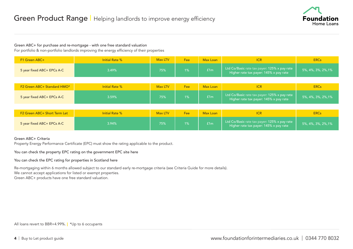

#### Green ABC+ for purchase and re-mortgage - with one free standard valuation

For portfolio & non-portfolio landlords improving the energy efficiency of their properties

| F1 Green ABC+                            | Initial Rate %        | Max LTV | Fee   | Max Loan | <b>ICR</b>                                                                             | <b>ERCs</b>        |
|------------------------------------------|-----------------------|---------|-------|----------|----------------------------------------------------------------------------------------|--------------------|
| 5 year fixed ABC+ EPCs A-C               | 3.49%                 | 75%     | 1%    | f1m      | Ltd Co/Basic rate tax payer: 125% x pay rate<br>Higher rate tax payer: 145% x pay rate | 5%, 4%, 3%, 2%, 1% |
|                                          |                       |         |       |          |                                                                                        |                    |
| F2 Green ABC+ Standard HMO*              | <b>Initial Rate %</b> | Max LTV | Fee   | Max Loan | <b>ICR</b>                                                                             | <b>ERCs</b>        |
| 5 year fixed ABC+ EPCs A-C               | 3.59%                 | 75%     | $1\%$ | f1m      | Ltd Co/Basic rate tax payer: 125% x pay rate<br>Higher rate tax payer: 145% x pay rate | 5%, 4%, 3%, 2%, 1% |
|                                          |                       |         |       |          |                                                                                        |                    |
| F <sub>2</sub> Green ABC+ Short Term Let | Initial Rate %        | Max LTV | Fee   | Max Loan | <b>ICR</b>                                                                             | <b>ERCs</b>        |

| F2 Green ABC+ Short Term Let | Initial Rate % | <b>Max LTV</b> | Fee | Max Loan        |                                                                                           | <b>ERCs</b>        |
|------------------------------|----------------|----------------|-----|-----------------|-------------------------------------------------------------------------------------------|--------------------|
| 5 year fixed ABC+ EPCs A-C   | .94%           | 75%            | 1%  | E <sub>1m</sub> | Ltd Co/Basic rate tax payer: $125\%$ x pay rate<br>Higher rate tax payer: 145% x pay rate | 5%, 4%, 3%, 2%, 1% |

#### Green ABC+ Criteria

Property Energy Performance Certificate (EPC) must show the rating applicable to the product.

[You can check the property EPC rating on the government EPC site here](https://www.gov.uk/find-energy-certificate) 

[You can check the EPC rating for properties in Scotland here](https://www.scottishepcregister.org.uk)

Re-mortgaging within 6 months allowed subject to our standard early re-mortgage criteria (see Criteria Guide for more details).

We cannot accept applications for listed or exempt properties.

Green ABC+ products have one free standard valuation.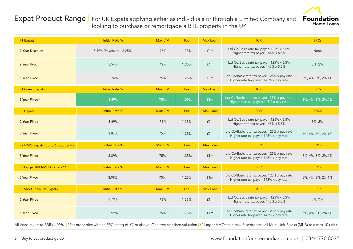### Expat Product Range | For UK Expats applying either as individuals or through a Limited Company and looking to purchase or remortgage a BTL property in the UK



| F1 Expats                         | <b>Initial Rate %</b>     | Max LTV | <b>Fee</b> | <b>Max Loan</b> | <b>ICR</b>                                                                             | <b>ERCs</b>        |
|-----------------------------------|---------------------------|---------|------------|-----------------|----------------------------------------------------------------------------------------|--------------------|
| 2 Year Discount                   | 3.49% (Reversion - 2.25%) | 75%     | 1.25%      | f1m             | Ltd Co/Basic rate tax payer: 125% x 5.5%<br>Higher rate tax payer: 145% x 5.5%         | None               |
| 2 Year fixed                      | 3.54%                     | 75%     | 1.25%      | f1m             | Ltd Co/Basic rate tax payer: 125% x 5.5%<br>Higher rate tax payer: 145% x 5.5%         | 3%, 2%             |
| 5 Year Fixed                      | 3.74%                     | 75%     | 1.25%      | f1m             | Ltd Co/Basic rate tax payer: 125% x pay rate<br>Higher rate tax payer: 145% x pay rate | 5%, 4%, 3%, 2%, 1% |
| F1 Green Expats                   | <b>Initial Rate %</b>     | Max LTV | Fee:       | <b>Max Loan</b> | <b>ICR</b>                                                                             | <b>ERCs</b>        |
| 5 Year Fixed*                     | 3.59%                     | 75%     | 1.00%      | f1m             | Ltd Co/Basic rate tax payer: 125% x pay rate<br>Higher rate tax payer: 145% x pay rate | 5%, 4%, 3%, 2%, 1% |
| <b>F2 Expats</b>                  | <b>Initial Rate %</b>     | Max LTV | Fee        | <b>Max Loan</b> | <b>ICR</b>                                                                             | <b>ERCs</b>        |
| 2 Year Fixed                      | 3.69%                     | 75%     | 1.25%      | f1m             | Ltd Co/Basic rate tax payer: 125% x 5.5%<br>Higher rate tax payer: 145% x 5.5%         | 3%, 2%             |
| 5 Year Fixed                      | 3.84%                     | 75%     | 1.25%      | f1m             | Ltd Co/Basic rate tax payer: 125% x pay rate<br>Higher rate tax payer: 145% x pay rate | 5%, 4%, 3%, 2%, 1% |
| F2 HMO Expats (up to 6 occupants) | <b>Initial Rate %</b>     | Max LTV | Fee        | <b>Max Loan</b> | <b>ICR</b>                                                                             | <b>ERCs</b>        |
| 5 Year Fixed                      | 3.89%                     | 75%     | 1.25%      | f1m             | Ltd Co/Basic rate tax payer: 125% x pay rate<br>Higher rate tax payer: 145% x pay rate | 5%, 4%, 3%, 2%, 1% |
| F2 Large HMO/MUB Expats **        | <b>Initial Rate %</b>     | Max LTV | Fee        | <b>Max Loan</b> | <b>ICR</b>                                                                             | <b>ERCs</b>        |
| 5 Year Fixed                      | 3.99%                     | 75%     | 1.25%      | f1m             | Ltd Co/Basic rate tax payer: 125% x pay rate<br>Higher rate tax payer: 145% x pay rate | 5%, 4%, 3%, 2%, 1% |
| F2 Short Term Let Expats          | <b>Initial Rate %</b>     | Max LTV | Fee        | Max Loan        | <b>ICR</b>                                                                             | <b>ERCs</b>        |
| 2 Year Fixed                      | 3.79%                     | 75%     | 1.25%      | £1m             | Ltd Co/Basic rate tax payer: 125% x 5.5%<br>Higher rate tax payer: 145% x 5.5%         | 3%, 2%             |
| 5 Year Fixed                      | 3.99%                     | 75%     | 1.25%      | f1m             | Ltd Co/Basic rate tax payer: 125% x pay rate<br>Higher rate tax payer: 145% x pay rate | 5%, 4%, 3%, 2%, 1% |

All loans revert to BBR+4.99%. | \*For properties with an EPC rating of 'C' or above. One free standard valuation | \*\* Larger HMOs to a max 8 bedrooms; all Multi-Unit Blocks (MUB) to a max 10 units.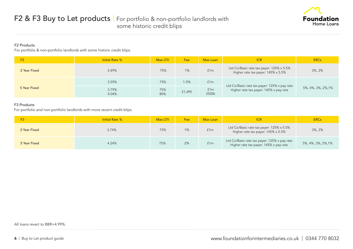

#### F2 Products

For portfolio & non-portfolio landlords with some historic credit blips.

| F <sub>2</sub> | <b>Initial Rate %</b> | Max LTV    | Fee     | Max Loan     | ICR                                                                                    | <b>ERCs</b>        |
|----------------|-----------------------|------------|---------|--------------|----------------------------------------------------------------------------------------|--------------------|
| 2 Year Fixed   | 3.49%                 | 75%        | 1%      | f1m          | Ltd Co/Basic rate tax payer: 125% x 5.5%<br>Higher rate tax payer: 145% x 5.5%         | $3\%$ , $2\%$      |
|                | 3.59%                 | 75%        | $1.5\%$ | f1m          |                                                                                        |                    |
| 5 Year Fixed   | 3.79%<br>4.04%        | 75%<br>80% | £1,495  | f1m<br>£500k | Ltd Co/Basic rate tax payer: 125% x pay rate<br>Higher rate tax payer: 145% x pay rate | 5%, 4%, 3%, 2%, 1% |

#### F3 Products

For portfolio and non-portfolio landlords with more recent credit blips.

|              | <b>Initial Rate %</b> | Max LTV | Fee | Max Loan | <b>ICR</b>                                                                             | <b>ERCs</b>        |
|--------------|-----------------------|---------|-----|----------|----------------------------------------------------------------------------------------|--------------------|
| 2 Year Fixed | 3.74%                 | 75%     | 1%  | f1m      | Ltd Co/Basic rate tax payer: 125% x 5.5%<br>Higher rate tax payer: 145% x 5.5%         | $3\%$ , $2\%$      |
| 5 Year Fixed | 4.24%                 | 75%     | 2%  | f1m      | Ltd Co/Basic rate tax payer: 125% x pay rate<br>Higher rate tax payer: 145% x pay rate | 5%, 4%, 3%, 2%, 1% |

All loans revert to BBR+4.99%.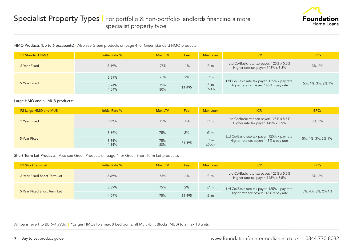

#### HMO Products (Up to 6 occupants) - Also see Green products on page 4 for Green standard HMO products

| <b>F2 Standard HMO</b> | Initial Rate % | Max LTV    | Fee    | Max Loan     | <b>ICR</b>                                                                             | <b>ERCs</b>        |
|------------------------|----------------|------------|--------|--------------|----------------------------------------------------------------------------------------|--------------------|
| 2 Year Fixed           | 3.49%          | 75%        | 1%     | f1m          | Ltd Co/Basic rate tax payer: 125% x 5.5%<br>Higher rate tax payer: 145% x 5.5%         | 3%, 2%             |
|                        | 3.59%          | 75%        | 2%     | f1m          |                                                                                        |                    |
| 5 Year Fixed           | 3.74%<br>4.04% | 75%<br>80% | £1,495 | f1m<br>£500k | Ltd Co/Basic rate tax payer: 125% x pay rate<br>Higher rate tax payer: 145% x pay rate | 5%, 4%, 3%, 2%, 1% |

#### Large HMO and all MUB products\*

| <b>F2 Large HMO and MUB</b> | <b>Initial Rate %</b> | Max LTV    | Fee    | Max Loan     | <b>ICR</b>                                                                             | <b>ERCs</b>        |
|-----------------------------|-----------------------|------------|--------|--------------|----------------------------------------------------------------------------------------|--------------------|
| 2 Year Fixed                | 3.59%                 | 75%        | 1%     | f1m          | Ltd Co/Basic rate tax payer: 125% x 5.5%<br>Higher rate tax payer: 145% x 5.5%         | $3\%$ , $2\%$      |
|                             | 3.69%                 | 75%        | 2%     | f1m          |                                                                                        |                    |
| 5 Year Fixed                | 3.84%<br>4.14%        | 75%<br>80% | £1,495 | f1m<br>£500k | Ltd Co/Basic rate tax payer: 125% x pay rate<br>Higher rate tax payer: 145% x pay rate | 5%, 4%, 3%, 2%, 1% |

#### Short Term Let Products - Also see Green Products on page 4 for Green Short Term Let productss

| <b>F2 Short Term Let</b>    | Initial Rate % | Max LTV | Fee    | Max Loan | <b>ICR</b>                                                                     | <b>ERCs</b>        |
|-----------------------------|----------------|---------|--------|----------|--------------------------------------------------------------------------------|--------------------|
| 2 Year Fixed Short Term Let | 3.69%          | 75%     | 1%     | f1m      | Ltd Co/Basic rate tax payer: 125% x 5.5%<br>Higher rate tax payer: 145% x 5.5% | 3%, 2%             |
|                             | 3.89%          | 75%     | 2%     | f1m      | Ltd Co/Basic rate tax payer: 125% x pay rate                                   |                    |
| 5 Year Fixed Short Term Let | 4.09%          | 75%     | £1,495 | f1m      | Higher rate tax payer: 145% x pay rate                                         | 5%, 4%, 3%, 2%, 1% |

All loans revert to BBR+4.99%. | \*Larger HMOs to a max 8 bedrooms; all Multi-Unit Blocks (MUB) to a max 10 units.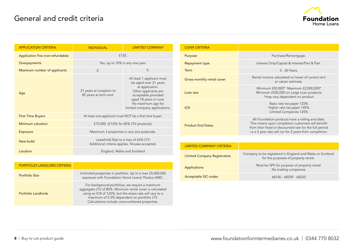

| <b>APPLICATION CRITERIA</b>      | <b>INDIVIDUAL</b>                                                                     | <b>LIMITED COMPANY</b>                                                                                                                                                                                |  |  |  |  |
|----------------------------------|---------------------------------------------------------------------------------------|-------------------------------------------------------------------------------------------------------------------------------------------------------------------------------------------------------|--|--|--|--|
| Application Fee (non-refundable) | £125.                                                                                 |                                                                                                                                                                                                       |  |  |  |  |
| Overpayments                     | Yes, up to 10% in any one year.                                                       |                                                                                                                                                                                                       |  |  |  |  |
| Maximum number of applicants     | 2.                                                                                    | $\mathbf{4}$ .                                                                                                                                                                                        |  |  |  |  |
| Age                              | 21 years at inception to<br>85 years at term end.                                     | At least 1 applicant must<br>be aged over 21 years<br>at application.<br>Other applicants are<br>acceptable provided<br>aged 18 years or over.<br>No maximum age for<br>limited company applications. |  |  |  |  |
| <b>First Time Buyers</b>         |                                                                                       | At least one applicant must NOT be a first time buyer.                                                                                                                                                |  |  |  |  |
| Minimum valuation                |                                                                                       | £75,000. (£125k for 85% LTV products).                                                                                                                                                                |  |  |  |  |
| <b>Exposure</b>                  | Maximum 3 properties in any one postcode.                                             |                                                                                                                                                                                                       |  |  |  |  |
| New build                        | Leasehold flats to a max of 65% LTV.<br>Additional criteria applies. Houses accepted. |                                                                                                                                                                                                       |  |  |  |  |
| Location                         |                                                                                       | England, Wales and Scotland                                                                                                                                                                           |  |  |  |  |

| <b>PORTFOLIO LANDLORD CRITERIA</b> |                                                                                                                                                                                                                                                                         |
|------------------------------------|-------------------------------------------------------------------------------------------------------------------------------------------------------------------------------------------------------------------------------------------------------------------------|
| Portfolio Size                     | Unlimited properties in portfolio. Up to a max £5,000,000<br>exposure with Foundation Home Loans/ Paratus AMC.                                                                                                                                                          |
| Portfolio Landlords                | For background portfolios, we require a maximum<br>aggregate LTV of 80%. Minimum rental cover is calculated<br>using an ICR of 125%, but the stress rate will vary to a<br>maximum of 5.5% dependent on portfolio LTV.<br>Calculations include unencumbered properties. |

| <b>LOAN CRITERIA</b>                |                                                                                                                                                                                                                             |  |
|-------------------------------------|-----------------------------------------------------------------------------------------------------------------------------------------------------------------------------------------------------------------------------|--|
| Purpose                             | Purchase/Remortgage.                                                                                                                                                                                                        |  |
| <b>Repayment type</b>               | Interest Only/Capital & Interest/Part & Part.                                                                                                                                                                               |  |
| Term                                | 5 - 30 Years.                                                                                                                                                                                                               |  |
| Gross monthly rental cover          | Rental income calculated on lower of current rent<br>or valuer estimate.                                                                                                                                                    |  |
| Loan size                           | Minimum £50,000* Maximum £2,000,000*<br>Minimum £500,000 on Large Loan products<br>*may vary dependent on product                                                                                                           |  |
| <b>ICR</b>                          | Basic rate tax payer 125%<br>Higher rate tax payer 145%<br>Limited Companies 125%                                                                                                                                           |  |
| <b>Product End Dates</b>            | All Foundation products have a rolling end date.<br>This means upon completion customers will benefit<br>from their fixed or discounted rate for the full period<br>i.e a 2 year rate will run for 2 years from completion. |  |
|                                     |                                                                                                                                                                                                                             |  |
| <b>LIMITED COMPANY CRITERIA</b>     |                                                                                                                                                                                                                             |  |
| <b>Limited Company Registration</b> | Company to be registered in England and Wales or Scotland<br>for the purposes of property rental.                                                                                                                           |  |
| <b>Applications</b>                 | Must be SPV for purpose of property rental.<br>No trading companies.                                                                                                                                                        |  |
| Acceptable SIC codes                | 68100 - 68209 - 68320                                                                                                                                                                                                       |  |